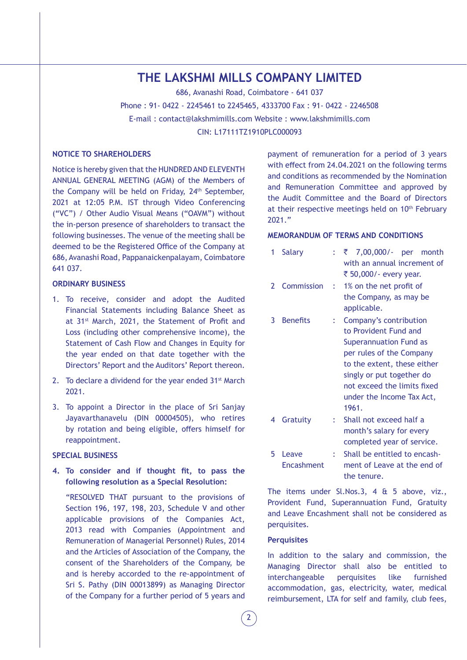# **THE LAKSHMI MILLS COMPANY LIMITED**

686, Avanashi Road, Coimbatore - 641 037

Phone : 91- 0422 - 2245461 to 2245465, 4333700 Fax : 91- 0422 - 2246508

E-mail : contact@lakshmimills.com Website : www.lakshmimills.com

CIN: L17111TZ1910PLC000093

#### **NOTICE TO SHAREHOLDERS**

Notice is hereby given that the HUNDRED AND ELEVENTH ANNUAL GENERAL MEETING (AGM) of the Members of the Company will be held on Friday, 24<sup>th</sup> September, 2021 at 12:05 P.M. IST through Video Conferencing ("VC") / Other Audio Visual Means ("OAVM") without the in-person presence of shareholders to transact the following businesses. The venue of the meeting shall be deemed to be the Registered Office of the Company at 686, Avanashi Road, Pappanaickenpalayam, Coimbatore 641 037.

#### **ORDINARY BUSINESS**

- 1. To receive, consider and adopt the Audited Financial Statements including Balance Sheet as at 31st March, 2021, the Statement of Profit and Loss (including other comprehensive income), the Statement of Cash Flow and Changes in Equity for the year ended on that date together with the Directors' Report and the Auditors' Report thereon.
- 2. To declare a dividend for the year ended 31<sup>st</sup> March 2021.
- 3. To appoint a Director in the place of Sri Sanjay Jayavarthanavelu (DIN 00004505), who retires by rotation and being eligible, offers himself for reappointment.

#### **SPECIAL BUSINESS**

**4. To consider and if thought fit, to pass the following resolution as a Special Resolution:**

"RESOLVED THAT pursuant to the provisions of Section 196, 197, 198, 203, Schedule V and other applicable provisions of the Companies Act, 2013 read with Companies (Appointment and Remuneration of Managerial Personnel) Rules, 2014 and the Articles of Association of the Company, the consent of the Shareholders of the Company, be and is hereby accorded to the re-appointment of Sri S. Pathy (DIN 00013899) as Managing Director of the Company for a further period of 5 years and payment of remuneration for a period of 3 years with effect from 24.04.2021 on the following terms and conditions as recommended by the Nomination and Remuneration Committee and approved by the Audit Committee and the Board of Directors at their respective meetings held on 10<sup>th</sup> February 2021."

#### **MEMORANDUM OF TERMS AND CONDITIONS**

| 1 | <b>Salary</b>       |    | 7,00,000/- per<br>₹<br>month<br>with an annual increment of<br>₹ 50,000/- every year.                                                                                                                                                         |
|---|---------------------|----|-----------------------------------------------------------------------------------------------------------------------------------------------------------------------------------------------------------------------------------------------|
| 2 | Commission          | ÷. | 1% on the net profit of<br>the Company, as may be<br>applicable.                                                                                                                                                                              |
| 3 | <b>Benefits</b>     | t. | Company's contribution<br>to Provident Fund and<br><b>Superannuation Fund as</b><br>per rules of the Company<br>to the extent, these either<br>singly or put together do<br>not exceed the limits fixed<br>under the Income Tax Act,<br>1961. |
| 4 | Gratuity            | t. | Shall not exceed half a<br>month's salary for every<br>completed year of service.                                                                                                                                                             |
| 5 | Leave<br>Encashment | ÷  | Shall be entitled to encash-<br>ment of Leave at the end of<br>the tenure.                                                                                                                                                                    |

The items under Sl.Nos.3, 4 & 5 above, viz., Provident Fund, Superannuation Fund, Gratuity and Leave Encashment shall not be considered as perquisites.

#### **Perquisites**

In addition to the salary and commission, the Managing Director shall also be entitled to interchangeable perquisites like furnished accommodation, gas, electricity, water, medical reimbursement, LTA for self and family, club fees,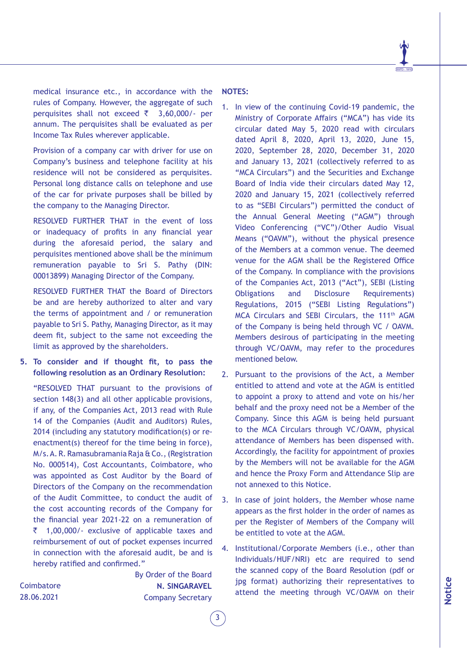medical insurance etc., in accordance with the rules of Company. However, the aggregate of such perquisites shall not exceed  $\bar{\tau}$  3,60,000/- per annum. The perquisites shall be evaluated as per Income Tax Rules wherever applicable.

Provision of a company car with driver for use on Company's business and telephone facility at his residence will not be considered as perquisites. Personal long distance calls on telephone and use of the car for private purposes shall be billed by the company to the Managing Director.

RESOLVED FURTHER THAT in the event of loss or inadequacy of profits in any financial year during the aforesaid period, the salary and perquisites mentioned above shall be the minimum remuneration payable to Sri S. Pathy (DIN: 00013899) Managing Director of the Company.

RESOLVED FURTHER THAT the Board of Directors be and are hereby authorized to alter and vary the terms of appointment and / or remuneration payable to Sri S. Pathy, Managing Director, as it may deem fit, subject to the same not exceeding the limit as approved by the shareholders.

**5. To consider and if thought fit, to pass the following resolution as an Ordinary Resolution:**

"RESOLVED THAT pursuant to the provisions of section 148(3) and all other applicable provisions, if any, of the Companies Act, 2013 read with Rule 14 of the Companies (Audit and Auditors) Rules, 2014 (including any statutory modification(s) or reenactment(s) thereof for the time being in force), M/s. A. R. Ramasubramania Raja & Co., (Registration No. 000514), Cost Accountants, Coimbatore, who was appointed as Cost Auditor by the Board of Directors of the Company on the recommendation of the Audit Committee, to conduct the audit of the cost accounting records of the Company for the financial year 2021-22 on a remuneration of  $\bar{z}$  1,00,000/- exclusive of applicable taxes and reimbursement of out of pocket expenses incurred in connection with the aforesaid audit, be and is hereby ratified and confirmed."

**Coimbatore** 28.06.2021

By Order of the Board **N. SINGARAVEL** Company Secretary

3

**NOTES:**

- 1. In view of the continuing Covid-19 pandemic, the Ministry of Corporate Affairs ("MCA") has vide its circular dated May 5, 2020 read with circulars dated April 8, 2020, April 13, 2020, June 15, 2020, September 28, 2020, December 31, 2020 and January 13, 2021 (collectively referred to as "MCA Circulars") and the Securities and Exchange Board of India vide their circulars dated May 12, 2020 and January 15, 2021 (collectively referred to as "SEBI Circulars") permitted the conduct of the Annual General Meeting ("AGM") through Video Conferencing ("VC")/Other Audio Visual Means ("OAVM"), without the physical presence of the Members at a common venue. The deemed venue for the AGM shall be the Registered Office of the Company. In compliance with the provisions of the Companies Act, 2013 ("Act"), SEBI (Listing Obligations and Disclosure Requirements) Regulations, 2015 ("SEBI Listing Regulations") MCA Circulars and SEBI Circulars, the 111th AGM of the Company is being held through VC / OAVM. Members desirous of participating in the meeting through VC/OAVM, may refer to the procedures mentioned below.
- 2. Pursuant to the provisions of the Act, a Member entitled to attend and vote at the AGM is entitled to appoint a proxy to attend and vote on his/her behalf and the proxy need not be a Member of the Company. Since this AGM is being held pursuant to the MCA Circulars through VC/OAVM, physical attendance of Members has been dispensed with. Accordingly, the facility for appointment of proxies by the Members will not be available for the AGM and hence the Proxy Form and Attendance Slip are not annexed to this Notice.
- 3. In case of joint holders, the Member whose name appears as the first holder in the order of names as per the Register of Members of the Company will be entitled to vote at the AGM.
- 4. Institutional/Corporate Members (i.e., other than Individuals/HUF/NRI) etc are required to send the scanned copy of the Board Resolution (pdf or jpg format) authorizing their representatives to attend the meeting through VC/OAVM on their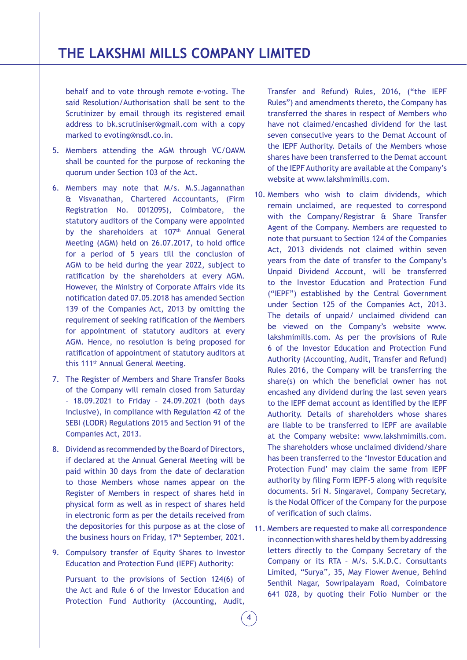behalf and to vote through remote e-voting. The said Resolution/Authorisation shall be sent to the Scrutinizer by email through its registered email address to bk.scrutiniser@gmail.com with a copy marked to evoting@nsdl.co.in.

- 5. Members attending the AGM through VC/OAVM shall be counted for the purpose of reckoning the quorum under Section 103 of the Act.
- 6. Members may note that M/s. M.S.Jagannathan & Visvanathan, Chartered Accountants, (Firm Registration No. 001209S), Coimbatore, the statutory auditors of the Company were appointed by the shareholders at 107<sup>th</sup> Annual General Meeting (AGM) held on 26.07.2017, to hold office for a period of 5 years till the conclusion of AGM to be held during the year 2022, subject to ratification by the shareholders at every AGM. However, the Ministry of Corporate Affairs vide its notification dated 07.05.2018 has amended Section 139 of the Companies Act, 2013 by omitting the requirement of seeking ratification of the Members for appointment of statutory auditors at every AGM. Hence, no resolution is being proposed for ratification of appointment of statutory auditors at this 111th Annual General Meeting.
- 7. The Register of Members and Share Transfer Books of the Company will remain closed from Saturday – 18.09.2021 to Friday – 24.09.2021 (both days inclusive), in compliance with Regulation 42 of the SEBI (LODR) Regulations 2015 and Section 91 of the Companies Act, 2013.
- 8. Dividend as recommended by the Board of Directors, if declared at the Annual General Meeting will be paid within 30 days from the date of declaration to those Members whose names appear on the Register of Members in respect of shares held in physical form as well as in respect of shares held in electronic form as per the details received from the depositories for this purpose as at the close of the business hours on Friday, 17<sup>th</sup> September, 2021.
- 9. Compulsory transfer of Equity Shares to Investor Education and Protection Fund (IEPF) Authority:

Pursuant to the provisions of Section 124(6) of the Act and Rule 6 of the Investor Education and Protection Fund Authority (Accounting, Audit,

Transfer and Refund) Rules, 2016, ("the IEPF Rules") and amendments thereto, the Company has transferred the shares in respect of Members who have not claimed/encashed dividend for the last seven consecutive years to the Demat Account of the IEPF Authority. Details of the Members whose shares have been transferred to the Demat account of the IEPF Authority are available at the Company's website at www.lakshmimills.com.

- 10. Members who wish to claim dividends, which remain unclaimed, are requested to correspond with the Company/Registrar & Share Transfer Agent of the Company. Members are requested to note that pursuant to Section 124 of the Companies Act, 2013 dividends not claimed within seven years from the date of transfer to the Company's Unpaid Dividend Account, will be transferred to the Investor Education and Protection Fund ("IEPF") established by the Central Government under Section 125 of the Companies Act, 2013. The details of unpaid/ unclaimed dividend can be viewed on the Company's website www. lakshmimills.com. As per the provisions of Rule 6 of the Investor Education and Protection Fund Authority (Accounting, Audit, Transfer and Refund) Rules 2016, the Company will be transferring the share(s) on which the beneficial owner has not encashed any dividend during the last seven years to the IEPF demat account as identified by the IEPF Authority. Details of shareholders whose shares are liable to be transferred to IEPF are available at the Company website: www.lakshmimills.com. The shareholders whose unclaimed dividend/share has been transferred to the 'Investor Education and Protection Fund' may claim the same from IEPF authority by filing Form IEPF-5 along with requisite documents. Sri N. Singaravel, Company Secretary, is the Nodal Officer of the Company for the purpose of verification of such claims.
- 11. Members are requested to make all correspondence in connection with shares held by them by addressing letters directly to the Company Secretary of the Company or its RTA – M/s. S.K.D.C. Consultants Limited, "Surya", 35, May Flower Avenue, Behind Senthil Nagar, Sowripalayam Road, Coimbatore 641 028, by quoting their Folio Number or the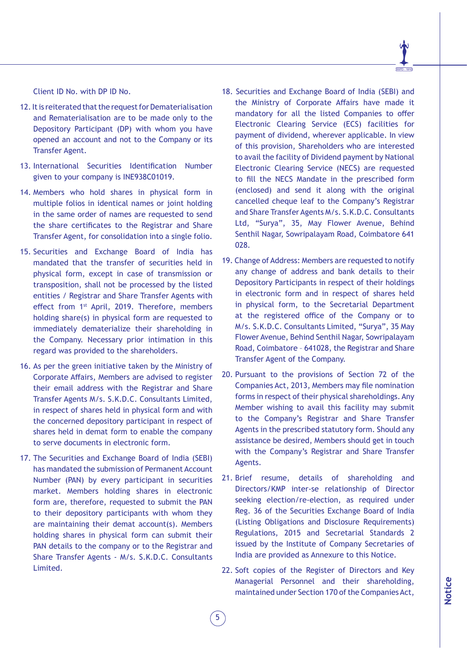Client ID No. with DP ID No.

- 12. It is reiterated that the request for Dematerialisation and Rematerialisation are to be made only to the Depository Participant (DP) with whom you have opened an account and not to the Company or its Transfer Agent.
- 13. International Securities Identification Number given to your company is INE938C01019.
- 14. Members who hold shares in physical form in multiple folios in identical names or joint holding in the same order of names are requested to send the share certificates to the Registrar and Share Transfer Agent, for consolidation into a single folio.
- 15. Securities and Exchange Board of India has mandated that the transfer of securities held in physical form, except in case of transmission or transposition, shall not be processed by the listed entities / Registrar and Share Transfer Agents with effect from 1<sup>st</sup> April, 2019. Therefore, members holding share(s) in physical form are requested to immediately dematerialize their shareholding in the Company. Necessary prior intimation in this regard was provided to the shareholders.
- 16. As per the green initiative taken by the Ministry of Corporate Affairs, Members are advised to register their email address with the Registrar and Share Transfer Agents M/s. S.K.D.C. Consultants Limited, in respect of shares held in physical form and with the concerned depository participant in respect of shares held in demat form to enable the company to serve documents in electronic form.
- 17. The Securities and Exchange Board of India (SEBI) has mandated the submission of Permanent Account Number (PAN) by every participant in securities market. Members holding shares in electronic form are, therefore, requested to submit the PAN to their depository participants with whom they are maintaining their demat account(s). Members holding shares in physical form can submit their PAN details to the company or to the Registrar and Share Transfer Agents - M/s. S.K.D.C. Consultants Limited.
- 18. Securities and Exchange Board of India (SEBI) and the Ministry of Corporate Affairs have made it mandatory for all the listed Companies to offer Electronic Clearing Service (ECS) facilities for payment of dividend, wherever applicable. In view of this provision, Shareholders who are interested to avail the facility of Dividend payment by National Electronic Clearing Service (NECS) are requested to fill the NECS Mandate in the prescribed form (enclosed) and send it along with the original cancelled cheque leaf to the Company's Registrar and Share Transfer Agents M/s. S.K.D.C. Consultants Ltd, "Surya", 35, May Flower Avenue, Behind Senthil Nagar, Sowripalayam Road, Coimbatore 641 028.
- 19. Change of Address: Members are requested to notify any change of address and bank details to their Depository Participants in respect of their holdings in electronic form and in respect of shares held in physical form, to the Secretarial Department at the registered office of the Company or to M/s. S.K.D.C. Consultants Limited, "Surya", 35 May Flower Avenue, Behind Senthil Nagar, Sowripalayam Road, Coimbatore – 641028, the Registrar and Share Transfer Agent of the Company.
- 20. Pursuant to the provisions of Section 72 of the Companies Act, 2013, Members may file nomination forms in respect of their physical shareholdings. Any Member wishing to avail this facility may submit to the Company's Registrar and Share Transfer Agents in the prescribed statutory form. Should any assistance be desired, Members should get in touch with the Company's Registrar and Share Transfer Agents.
- 21. Brief resume, details of shareholding and Directors/KMP inter-se relationship of Director seeking election/re-election, as required under Reg. 36 of the Securities Exchange Board of India (Listing Obligations and Disclosure Requirements) Regulations, 2015 and Secretarial Standards 2 issued by the Institute of Company Secretaries of India are provided as Annexure to this Notice.
- 22. Soft copies of the Register of Directors and Key Managerial Personnel and their shareholding, maintained under Section 170 of the Companies Act,

5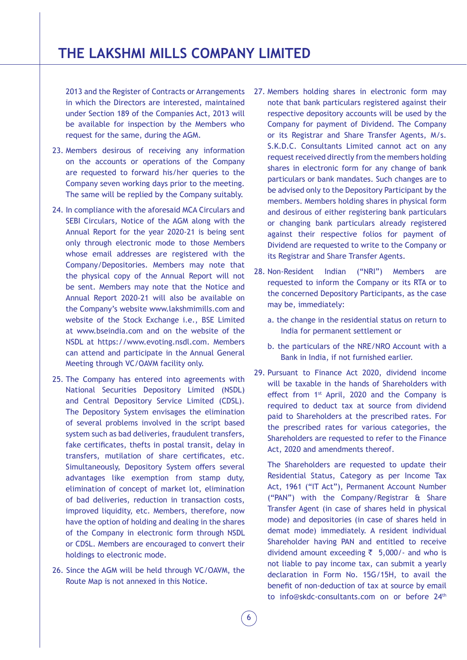2013 and the Register of Contracts or Arrangements in which the Directors are interested, maintained under Section 189 of the Companies Act, 2013 will be available for inspection by the Members who request for the same, during the AGM.

- 23. Members desirous of receiving any information on the accounts or operations of the Company are requested to forward his/her queries to the Company seven working days prior to the meeting. The same will be replied by the Company suitably.
- 24. In compliance with the aforesaid MCA Circulars and SEBI Circulars, Notice of the AGM along with the Annual Report for the year 2020-21 is being sent only through electronic mode to those Members whose email addresses are registered with the Company/Depositories. Members may note that the physical copy of the Annual Report will not be sent. Members may note that the Notice and Annual Report 2020-21 will also be available on the Company's website www.lakshmimills.com and website of the Stock Exchange i.e., BSE Limited at www.bseindia.com and on the website of the NSDL at https://www.evoting.nsdl.com. Members can attend and participate in the Annual General Meeting through VC/OAVM facility only.
- 25. The Company has entered into agreements with National Securities Depository Limited (NSDL) and Central Depository Service Limited (CDSL). The Depository System envisages the elimination of several problems involved in the script based system such as bad deliveries, fraudulent transfers, fake certificates, thefts in postal transit, delay in transfers, mutilation of share certificates, etc. Simultaneously, Depository System offers several advantages like exemption from stamp duty, elimination of concept of market lot, elimination of bad deliveries, reduction in transaction costs, improved liquidity, etc. Members, therefore, now have the option of holding and dealing in the shares of the Company in electronic form through NSDL or CDSL. Members are encouraged to convert their holdings to electronic mode.
- 26. Since the AGM will be held through VC/OAVM, the Route Map is not annexed in this Notice.
- 27. Members holding shares in electronic form may note that bank particulars registered against their respective depository accounts will be used by the Company for payment of Dividend. The Company or its Registrar and Share Transfer Agents, M/s. S.K.D.C. Consultants Limited cannot act on any request received directly from the members holding shares in electronic form for any change of bank particulars or bank mandates. Such changes are to be advised only to the Depository Participant by the members. Members holding shares in physical form and desirous of either registering bank particulars or changing bank particulars already registered against their respective folios for payment of Dividend are requested to write to the Company or its Registrar and Share Transfer Agents.
- 28. Non-Resident Indian ("NRI") Members are requested to inform the Company or its RTA or to the concerned Depository Participants, as the case may be, immediately:
	- a. the change in the residential status on return to India for permanent settlement or
	- b. the particulars of the NRE/NRO Account with a Bank in India, if not furnished earlier.
- 29. Pursuant to Finance Act 2020, dividend income will be taxable in the hands of Shareholders with effect from 1st April, 2020 and the Company is required to deduct tax at source from dividend paid to Shareholders at the prescribed rates. For the prescribed rates for various categories, the Shareholders are requested to refer to the Finance Act, 2020 and amendments thereof.

The Shareholders are requested to update their Residential Status, Category as per Income Tax Act, 1961 ("IT Act"), Permanent Account Number ("PAN") with the Company/Registrar & Share Transfer Agent (in case of shares held in physical mode) and depositories (in case of shares held in demat mode) immediately. A resident individual Shareholder having PAN and entitled to receive dividend amount exceeding  $\bar{z}$  5,000/- and who is not liable to pay income tax, can submit a yearly declaration in Form No. 15G/15H, to avail the benefit of non-deduction of tax at source by email to info@skdc-consultants.com on or before 24th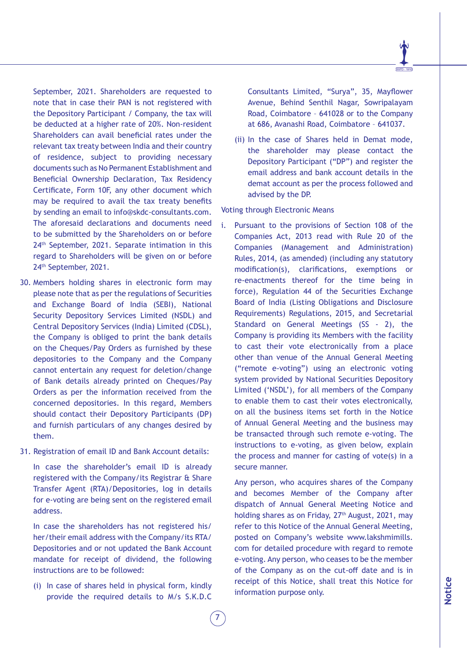September, 2021. Shareholders are requested to note that in case their PAN is not registered with the Depository Participant / Company, the tax will be deducted at a higher rate of 20%. Non-resident Shareholders can avail beneficial rates under the relevant tax treaty between India and their country of residence, subject to providing necessary documents such as No Permanent Establishment and Beneficial Ownership Declaration, Tax Residency Certificate, Form 10F, any other document which may be required to avail the tax treaty benefits by sending an email to info@skdc-consultants.com. The aforesaid declarations and documents need to be submitted by the Shareholders on or before 24th September, 2021. Separate intimation in this regard to Shareholders will be given on or before 24th September, 2021.

- 30. Members holding shares in electronic form may please note that as per the regulations of Securities and Exchange Board of India (SEBI), National Security Depository Services Limited (NSDL) and Central Depository Services (India) Limited (CDSL), the Company is obliged to print the bank details on the Cheques/Pay Orders as furnished by these depositories to the Company and the Company cannot entertain any request for deletion/change of Bank details already printed on Cheques/Pay Orders as per the information received from the concerned depositories. In this regard, Members should contact their Depository Participants (DP) and furnish particulars of any changes desired by them.
- 31. Registration of email ID and Bank Account details:

In case the shareholder's email ID is already registered with the Company/its Registrar & Share Transfer Agent (RTA)/Depositories, log in details for e-voting are being sent on the registered email address.

In case the shareholders has not registered his/ her/their email address with the Company/its RTA/ Depositories and or not updated the Bank Account mandate for receipt of dividend, the following instructions are to be followed:

(i) In case of shares held in physical form, kindly provide the required details to M/s S.K.D.C

7

Consultants Limited, "Surya", 35, Mayflower Avenue, Behind Senthil Nagar, Sowripalayam Road, Coimbatore – 641028 or to the Company at 686, Avanashi Road, Coimbatore – 641037.

(ii) In the case of Shares held in Demat mode, the shareholder may please contact the Depository Participant ("DP") and register the email address and bank account details in the demat account as per the process followed and advised by the DP.

Voting through Electronic Means

i. Pursuant to the provisions of Section 108 of the Companies Act, 2013 read with Rule 20 of the Companies (Management and Administration) Rules, 2014, (as amended) (including any statutory modification(s), clarifications, exemptions or re-enactments thereof for the time being in force), Regulation 44 of the Securities Exchange Board of India (Listing Obligations and Disclosure Requirements) Regulations, 2015, and Secretarial Standard on General Meetings (SS - 2), the Company is providing its Members with the facility to cast their vote electronically from a place other than venue of the Annual General Meeting ("remote e-voting") using an electronic voting system provided by National Securities Depository Limited ('NSDL'), for all members of the Company to enable them to cast their votes electronically, on all the business items set forth in the Notice of Annual General Meeting and the business may be transacted through such remote e-voting. The instructions to e-voting, as given below, explain the process and manner for casting of vote(s) in a secure manner.

Any person, who acquires shares of the Company and becomes Member of the Company after dispatch of Annual General Meeting Notice and holding shares as on Friday, 27<sup>th</sup> August, 2021, may refer to this Notice of the Annual General Meeting, posted on Company's website www.lakshmimills. com for detailed procedure with regard to remote e-voting. Any person, who ceases to be the member of the Company as on the cut-off date and is in receipt of this Notice, shall treat this Notice for information purpose only.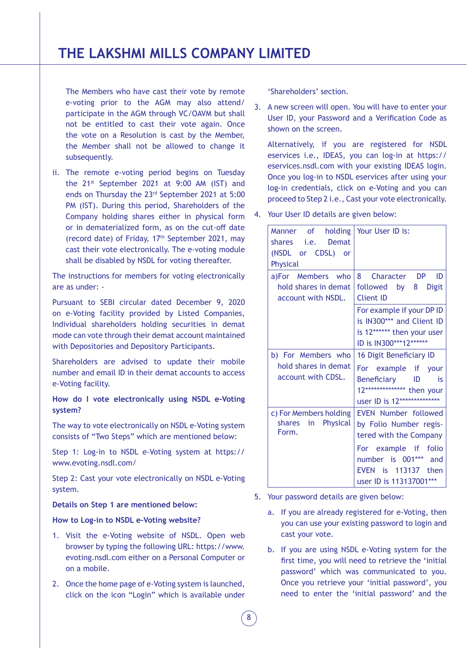The Members who have cast their vote by remote e-voting prior to the AGM may also attend/ participate in the AGM through VC/OAVM but shall not be entitled to cast their vote again. Once the vote on a Resolution is cast by the Member, the Member shall not be allowed to change it subsequently.

ii. The remote e-voting period begins on Tuesday the 21<sup>st</sup> September 2021 at 9:00 AM (IST) and ends on Thursday the 23rd September 2021 at 5:00 PM (IST). During this period, Shareholders of the Company holding shares either in physical form or in dematerialized form, as on the cut-off date (record date) of Friday,  $17<sup>th</sup>$  September 2021, may cast their vote electronically. The e-voting module shall be disabled by NSDL for voting thereafter.

The instructions for members for voting electronically are as under: -

Pursuant to SEBI circular dated December 9, 2020 on e-Voting facility provided by Listed Companies, Individual shareholders holding securities in demat mode can vote through their demat account maintained with Depositories and Depository Participants.

Shareholders are advised to update their mobile number and email ID in their demat accounts to access e-Voting facility.

# **How do I vote electronically using NSDL e-Voting system?**

The way to vote electronically on NSDL e-Voting system consists of "Two Steps" which are mentioned below:

Step 1: Log-in to NSDL e-Voting system at https:// www.evoting.nsdl.com/

Step 2: Cast your vote electronically on NSDL e-Voting system.

#### **Details on Step 1 are mentioned below:**

# **How to Log-in to NSDL e-Voting website?**

- 1. Visit the e-Voting website of NSDL. Open web browser by typing the following URL: https://www. evoting.nsdl.com either on a Personal Computer or on a mobile.
- 2. Once the home page of e-Voting system is launched, click on the icon "Login" which is available under

'Shareholders' section.

3. A new screen will open. You will have to enter your User ID, your Password and a Verification Code as shown on the screen.

Alternatively, if you are registered for NSDL eservices i.e., IDEAS, you can log-in at https:// eservices.nsdl.com with your existing IDEAS login. Once you log-in to NSDL eservices after using your log-in credentials, click on e-Voting and you can proceed to Step 2 i.e., Cast your vote electronically.

4. Your User ID details are given below:

| Manner of holding Your User ID is:<br>shares <i>i.e.</i> Demat<br>(NSDL or CDSL) or<br>Physical |                                                                                                                                                                                         |
|-------------------------------------------------------------------------------------------------|-----------------------------------------------------------------------------------------------------------------------------------------------------------------------------------------|
| a)For Members who<br>hold shares in demat<br>account with NSDL.                                 | 8<br>Character DP<br>ID<br>followed by 8<br><b>Digit</b><br><b>Client ID</b><br>For example if your DP ID<br>is IN300*** and Client ID                                                  |
|                                                                                                 | is 12****** then your user<br>ID is IN300***12******                                                                                                                                    |
| b) For Members who<br>hold shares in demat<br>account with CDSL.                                | 16 Digit Beneficiary ID<br>For example if your<br>Beneficiary ID<br>is<br>12************** then your<br>user ID is 12**************                                                     |
| c) For Members holding<br>Physical<br>shares<br>in<br>Form.                                     | <b>EVEN Number followed</b><br>by Folio Number regis-<br>tered with the Company<br>For example if<br>folio<br>number is 001***<br>and<br>EVEN is 113137 then<br>user ID is 113137001*** |

- 5. Your password details are given below:
	- a. If you are already registered for e-Voting, then you can use your existing password to login and cast your vote.
	- b. If you are using NSDL e-Voting system for the first time, you will need to retrieve the 'initial password' which was communicated to you. Once you retrieve your 'initial password', you need to enter the 'initial password' and the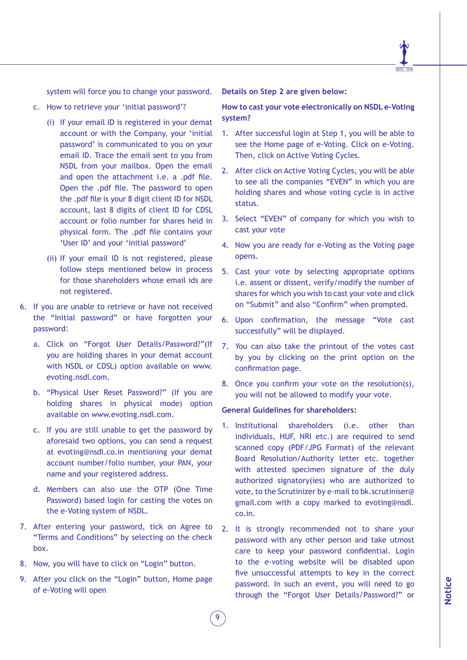

system will force you to change your password.

- c. How to retrieve your 'initial password'?
	- (i) If your email ID is registered in your demat account or with the Company, your 'initial password' is communicated to you on your email ID. Trace the email sent to you from NSDL from your mailbox. Open the email and open the attachment i.e. a .pdf file. Open the .pdf file. The password to open the .pdf file is your 8 digit client ID for NSDL account, last 8 digits of client ID for CDSL account or folio number for shares held in physical form. The .pdf file contains your 'User ID' and your 'initial password'
	- (ii) If your email ID is not registered, please follow steps mentioned below in process for those shareholders whose email ids are not registered.
- 6. If you are unable to retrieve or have not received the "Initial password" or have forgotten your password:
	- a. Click on "Forgot User Details/Password?"(If you are holding shares in your demat account with NSDL or CDSL) option available on www. evoting.nsdl.com.
	- b. "Physical User Reset Password?" (If you are holding shares in physical mode) option available on www.evoting.nsdl.com.
	- c. If you are still unable to get the password by aforesaid two options, you can send a request at evoting@nsdl.co.in mentioning your demat account number/folio number, your PAN, your name and your registered address.
	- d. Members can also use the OTP (One Time Password) based login for casting the votes on the e-Voting system of NSDL.
- 7. After entering your password, tick on Agree to "Terms and Conditions" by selecting on the check box.
- 8. Now, you will have to click on "Login" button.
- 9. After you click on the "Login" button, Home page of e-Voting will open

9

#### **Details on Step 2 are given below:**

# **How to cast your vote electronically on NSDL e-Voting system?**

- 1. After successful login at Step 1, you will be able to see the Home page of e-Voting. Click on e-Voting. Then, click on Active Voting Cycles.
- 2. After click on Active Voting Cycles, you will be able to see all the companies "EVEN" in which you are holding shares and whose voting cycle is in active status.
- 3. Select "EVEN" of company for which you wish to cast your vote
- 4. Now you are ready for e-Voting as the Voting page opens.
- 5. Cast your vote by selecting appropriate options i.e. assent or dissent, verify/modify the number of shares for which you wish to cast your vote and click on "Submit" and also "Confirm" when prompted.
- 6. Upon confirmation, the message "Vote cast successfully" will be displayed.
- 7. You can also take the printout of the votes cast by you by clicking on the print option on the confirmation page.
- 8. Once you confirm your vote on the resolution(s), you will not be allowed to modify your vote.

#### **General Guidelines for shareholders:**

- 1. Institutional shareholders (i.e. other than individuals, HUF, NRI etc.) are required to send scanned copy (PDF/JPG Format) of the relevant Board Resolution/Authority letter etc. together with attested specimen signature of the duly authorized signatory(ies) who are authorized to vote, to the Scrutinizer by e-mail to bk.scrutiniser@ gmail.com with a copy marked to evoting@nsdl. co.in.
- 2. It is strongly recommended not to share your password with any other person and take utmost care to keep your password confidential. Login to the e-voting website will be disabled upon five unsuccessful attempts to key in the correct password. In such an event, you will need to go through the "Forgot User Details/Password?" or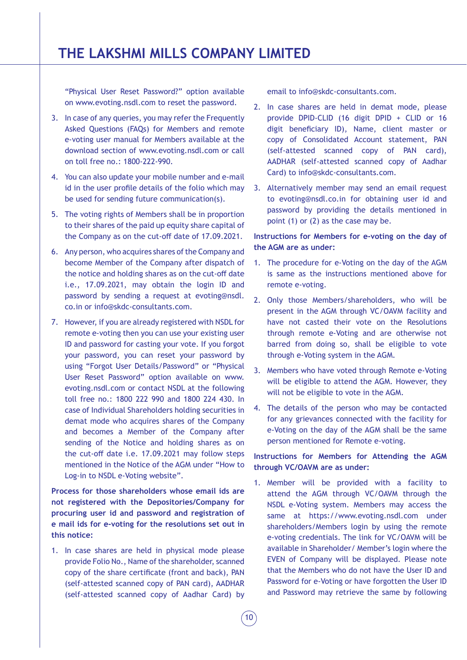"Physical User Reset Password?" option available on www.evoting.nsdl.com to reset the password.

- 3. In case of any queries, you may refer the Frequently Asked Questions (FAQs) for Members and remote e-voting user manual for Members available at the download section of www.evoting.nsdl.com or call on toll free no.: 1800-222-990.
- 4. You can also update your mobile number and e-mail id in the user profile details of the folio which may be used for sending future communication(s).
- 5. The voting rights of Members shall be in proportion to their shares of the paid up equity share capital of the Company as on the cut-off date of 17.09.2021.
- 6. Any person, who acquires shares of the Company and become Member of the Company after dispatch of the notice and holding shares as on the cut-off date i.e., 17.09.2021, may obtain the login ID and password by sending a request at evoting@nsdl. co.in or info@skdc-consultants.com.
- 7. However, if you are already registered with NSDL for remote e-voting then you can use your existing user ID and password for casting your vote. If you forgot your password, you can reset your password by using "Forgot User Details/Password" or "Physical User Reset Password" option available on www. evoting.nsdl.com or contact NSDL at the following toll free no.: 1800 222 990 and 1800 224 430. In case of Individual Shareholders holding securities in demat mode who acquires shares of the Company and becomes a Member of the Company after sending of the Notice and holding shares as on the cut-off date i.e. 17.09.2021 may follow steps mentioned in the Notice of the AGM under "How to Log-in to NSDL e-Voting website".

**Process for those shareholders whose email ids are not registered with the Depositories/Company for procuring user id and password and registration of e mail ids for e-voting for the resolutions set out in this notice:**

1. In case shares are held in physical mode please provide Folio No., Name of the shareholder, scanned copy of the share certificate (front and back), PAN (self-attested scanned copy of PAN card), AADHAR (self-attested scanned copy of Aadhar Card) by email to info@skdc-consultants.com.

- 2. In case shares are held in demat mode, please provide DPID-CLID (16 digit DPID + CLID or 16 digit beneficiary ID), Name, client master or copy of Consolidated Account statement, PAN (self-attested scanned copy of PAN card), AADHAR (self-attested scanned copy of Aadhar Card) to info@skdc-consultants.com.
- 3. Alternatively member may send an email request to evoting@nsdl.co.in for obtaining user id and password by providing the details mentioned in point (1) or (2) as the case may be.

# **Instructions for Members for e-voting on the day of the AGM are as under:**

- 1. The procedure for e-Voting on the day of the AGM is same as the instructions mentioned above for remote e-voting.
- 2. Only those Members/shareholders, who will be present in the AGM through VC/OAVM facility and have not casted their vote on the Resolutions through remote e-Voting and are otherwise not barred from doing so, shall be eligible to vote through e-Voting system in the AGM.
- 3. Members who have voted through Remote e-Voting will be eligible to attend the AGM. However, they will not be eligible to vote in the AGM.
- 4. The details of the person who may be contacted for any grievances connected with the facility for e-Voting on the day of the AGM shall be the same person mentioned for Remote e-voting.

# **Instructions for Members for Attending the AGM through VC/OAVM are as under:**

1. Member will be provided with a facility to attend the AGM through VC/OAVM through the NSDL e-Voting system. Members may access the same at https://www.evoting.nsdl.com under shareholders/Members login by using the remote e-voting credentials. The link for VC/OAVM will be available in Shareholder/ Member's login where the EVEN of Company will be displayed. Please note that the Members who do not have the User ID and Password for e-Voting or have forgotten the User ID and Password may retrieve the same by following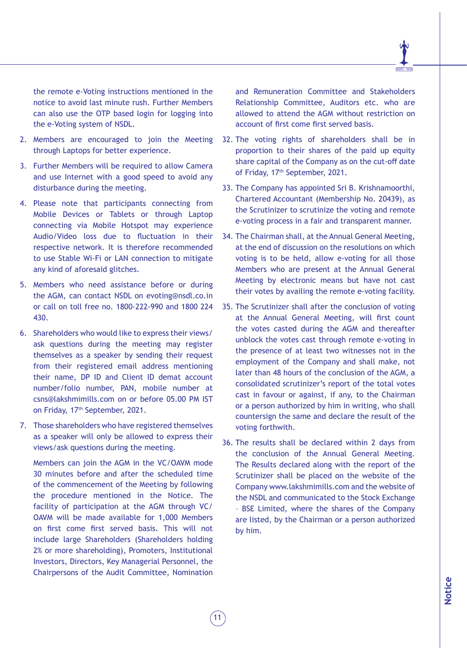the remote e-Voting instructions mentioned in the notice to avoid last minute rush. Further Members can also use the OTP based login for logging into the e-Voting system of NSDL.

- 2. Members are encouraged to join the Meeting through Laptops for better experience.
- 3. Further Members will be required to allow Camera and use Internet with a good speed to avoid any disturbance during the meeting.
- 4. Please note that participants connecting from Mobile Devices or Tablets or through Laptop connecting via Mobile Hotspot may experience Audio/Video loss due to fluctuation in their respective network. It is therefore recommended to use Stable Wi-Fi or LAN connection to mitigate any kind of aforesaid glitches.
- 5. Members who need assistance before or during the AGM, can contact NSDL on evoting@nsdl.co.in or call on toll free no. 1800-222-990 and 1800 224 430.
- 6. Shareholders who would like to express their views/ ask questions during the meeting may register themselves as a speaker by sending their request from their registered email address mentioning their name, DP ID and Client ID demat account number/folio number, PAN, mobile number at csns@lakshmimills.com on or before 05.00 PM IST on Friday, 17th September, 2021.
- 7. Those shareholders who have registered themselves as a speaker will only be allowed to express their views/ask questions during the meeting.

Members can join the AGM in the VC/OAVM mode 30 minutes before and after the scheduled time of the commencement of the Meeting by following the procedure mentioned in the Notice. The facility of participation at the AGM through VC/ OAVM will be made available for 1,000 Members on first come first served basis. This will not include large Shareholders (Shareholders holding 2% or more shareholding), Promoters, Institutional Investors, Directors, Key Managerial Personnel, the Chairpersons of the Audit Committee, Nomination and Remuneration Committee and Stakeholders Relationship Committee, Auditors etc. who are allowed to attend the AGM without restriction on account of first come first served basis.

- 32. The voting rights of shareholders shall be in proportion to their shares of the paid up equity share capital of the Company as on the cut-off date of Friday, 17<sup>th</sup> September, 2021.
- 33. The Company has appointed Sri B. Krishnamoorthi, Chartered Accountant (Membership No. 20439), as the Scrutinizer to scrutinize the voting and remote e-voting process in a fair and transparent manner.
- 34. The Chairman shall, at the Annual General Meeting, at the end of discussion on the resolutions on which voting is to be held, allow e-voting for all those Members who are present at the Annual General Meeting by electronic means but have not cast their votes by availing the remote e-voting facility.
- 35. The Scrutinizer shall after the conclusion of voting at the Annual General Meeting, will first count the votes casted during the AGM and thereafter unblock the votes cast through remote e-voting in the presence of at least two witnesses not in the employment of the Company and shall make, not later than 48 hours of the conclusion of the AGM, a consolidated scrutinizer's report of the total votes cast in favour or against, if any, to the Chairman or a person authorized by him in writing, who shall countersign the same and declare the result of the voting forthwith.
- 36. The results shall be declared within 2 days from the conclusion of the Annual General Meeting. The Results declared along with the report of the Scrutinizer shall be placed on the website of the Company www.lakshmimills.com and the website of the NSDL and communicated to the Stock Exchange – BSE Limited, where the shares of the Company are listed, by the Chairman or a person authorized by him.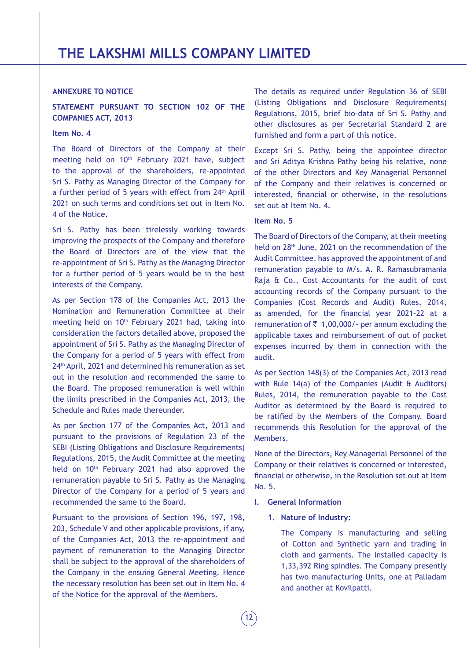# **ANNEXURE TO NOTICE**

# **STATEMENT PURSUANT TO SECTION 102 OF THE COMPANIES ACT, 2013**

#### **Item No. 4**

The Board of Directors of the Company at their meeting held on 10<sup>th</sup> February 2021 have, subject to the approval of the shareholders, re-appointed Sri S. Pathy as Managing Director of the Company for a further period of 5 years with effect from 24<sup>th</sup> April 2021 on such terms and conditions set out in Item No. 4 of the Notice.

Sri S. Pathy has been tirelessly working towards improving the prospects of the Company and therefore the Board of Directors are of the view that the re-appointment of Sri S. Pathy as the Managing Director for a further period of 5 years would be in the best interests of the Company.

As per Section 178 of the Companies Act, 2013 the Nomination and Remuneration Committee at their meeting held on 10<sup>th</sup> February 2021 had, taking into consideration the factors detailed above, proposed the appointment of Sri S. Pathy as the Managing Director of the Company for a period of 5 years with effect from 24<sup>th</sup> April, 2021 and determined his remuneration as set out in the resolution and recommended the same to the Board. The proposed remuneration is well within the limits prescribed in the Companies Act, 2013, the Schedule and Rules made thereunder.

As per Section 177 of the Companies Act, 2013 and pursuant to the provisions of Regulation 23 of the SEBI (Listing Obligations and Disclosure Requirements) Regulations, 2015, the Audit Committee at the meeting held on 10<sup>th</sup> February 2021 had also approved the remuneration payable to Sri S. Pathy as the Managing Director of the Company for a period of 5 years and recommended the same to the Board.

Pursuant to the provisions of Section 196, 197, 198, 203, Schedule V and other applicable provisions, if any, of the Companies Act, 2013 the re-appointment and payment of remuneration to the Managing Director shall be subject to the approval of the shareholders of the Company in the ensuing General Meeting. Hence the necessary resolution has been set out in Item No. 4 of the Notice for the approval of the Members.

The details as required under Regulation 36 of SEBI (Listing Obligations and Disclosure Requirements) Regulations, 2015, brief bio-data of Sri S. Pathy and other disclosures as per Secretarial Standard 2 are furnished and form a part of this notice.

Except Sri S. Pathy, being the appointee director and Sri Aditya Krishna Pathy being his relative, none of the other Directors and Key Managerial Personnel of the Company and their relatives is concerned or interested, financial or otherwise, in the resolutions set out at Item No. 4.

# **Item No. 5**

The Board of Directors of the Company, at their meeting held on 28th June, 2021 on the recommendation of the Audit Committee, has approved the appointment of and remuneration payable to M/s. A. R. Ramasubramania Raja & Co., Cost Accountants for the audit of cost accounting records of the Company pursuant to the Companies (Cost Records and Audit) Rules, 2014, as amended, for the financial year 2021-22 at a remuneration of  $\bar{z}$  1,00,000/- per annum excluding the applicable taxes and reimbursement of out of pocket expenses incurred by them in connection with the audit.

As per Section 148(3) of the Companies Act, 2013 read with Rule 14(a) of the Companies (Audit & Auditors) Rules, 2014, the remuneration payable to the Cost Auditor as determined by the Board is required to be ratified by the Members of the Company. Board recommends this Resolution for the approval of the Members.

None of the Directors, Key Managerial Personnel of the Company or their relatives is concerned or interested, financial or otherwise, in the Resolution set out at Item No. 5.

- **I. General Information**
	- **1. Nature of Industry:**

The Company is manufacturing and selling of Cotton and Synthetic yarn and trading in cloth and garments. The installed capacity is 1,33,392 Ring spindles. The Company presently has two manufacturing Units, one at Palladam and another at Kovilpatti.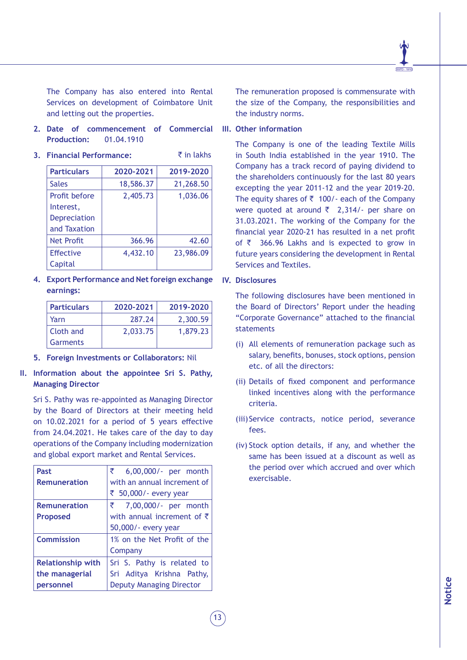The Company has also entered into Rental Services on development of Coimbatore Unit and letting out the properties.

**2. Date of commencement of Commercial Production:** 01.04.1910

| 3. Financial Performance: |           | $\bar{z}$ in lakhs |
|---------------------------|-----------|--------------------|
| <b>Particulars</b>        | 2020-2021 | 2019-2020          |
| <b>Sales</b>              | 18,586.37 | 21,268.50          |
| Profit before             | 2,405.73  | 1,036.06           |
| Interest,                 |           |                    |
| <b>Depreciation</b>       |           |                    |
| and Taxation              |           |                    |
| <b>Net Profit</b>         | 366.96    | 42.60              |
| <b>Effective</b>          | 4,432.10  | 23,986.09          |
| Capital                   |           |                    |

**4. Export Performance and Net foreign exchange earnings:**

| <b>Particulars</b> | 2020-2021 | 2019-2020 |
|--------------------|-----------|-----------|
| Yarn               | 287.24    | 2,300.59  |
| Cloth and          | 2,033.75  | 1,879.23  |
| Garments           |           |           |

**5. Foreign Investments or Collaborators:** Nil

# **II. Information about the appointee Sri S. Pathy, Managing Director**

Sri S. Pathy was re-appointed as Managing Director by the Board of Directors at their meeting held on 10.02.2021 for a period of 5 years effective from 24.04.2021. He takes care of the day to day operations of the Company including modernization and global export market and Rental Services.

| ₹<br>6,00,000/- per month          |
|------------------------------------|
| with an annual increment of        |
| ₹ 50,000/ - every year             |
| ₹ 7,00,000/- per month             |
| with annual increment of $\bar{z}$ |
| 50,000/- every year                |
| 1% on the Net Profit of the        |
| Company                            |
| Sri S. Pathy is related to         |
| Sri Aditya Krishna Pathy,          |
| <b>Deputy Managing Director</b>    |
|                                    |

The remuneration proposed is commensurate with the size of the Company, the responsibilities and the industry norms.

#### **III. Other information**

The Company is one of the leading Textile Mills in South India established in the year 1910. The Company has a track record of paying dividend to the shareholders continuously for the last 80 years excepting the year 2011-12 and the year 2019-20. The equity shares of  $\bar{z}$  100/- each of the Company were quoted at around  $\bar{\tau}$  2,314/- per share on 31.03.2021. The working of the Company for the financial year 2020-21 has resulted in a net profit of  $\bar{z}$  366.96 Lakhs and is expected to grow in future years considering the development in Rental Services and Textiles.

**IV. Disclosures**

The following disclosures have been mentioned in the Board of Directors' Report under the heading "Corporate Governance" attached to the financial statements

- (i) All elements of remuneration package such as salary, benefits, bonuses, stock options, pension etc. of all the directors:
- (ii) Details of fixed component and performance linked incentives along with the performance criteria.
- (iii)Service contracts, notice period, severance fees.
- (iv) Stock option details, if any, and whether the same has been issued at a discount as well as the period over which accrued and over which exercisable.